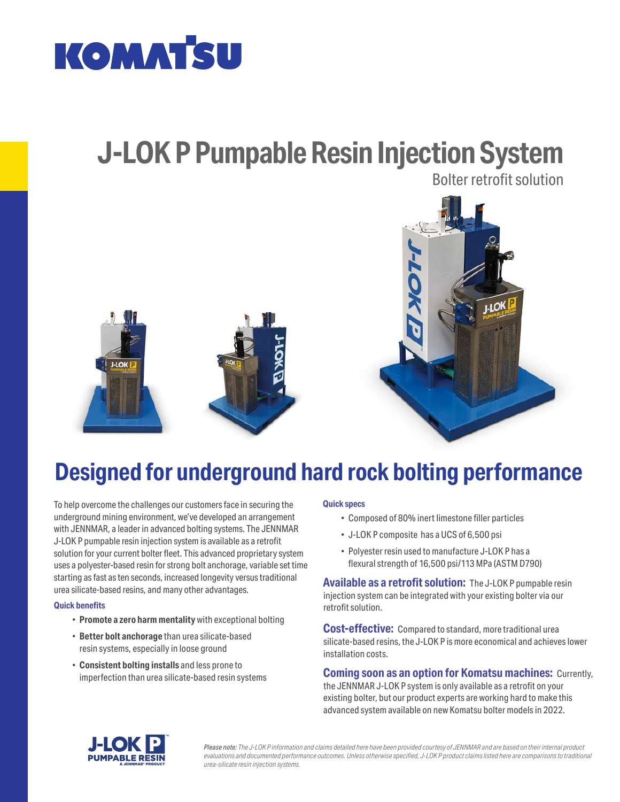

### **J-LOK P Pumpable Resin Injection System** Bolter retrofit solution

 $10$ **J-LOK** 

## **Designed for underground hard rock bolting performance**

To help overcome the challenges our customers face in securing the underground mining environment, we've developed an arrangement with JENNMAR, a leader in advanced bolting systems. The JENNMAR J-LOK P pumpable resin injection system is available as a retrofit solution for your current bolter fleet. This advanced proprietary system uses a polyester-based resin for strong bolt anchorage, variable set time starting as fast as ten seconds, increased longevity versus traditional urea silicate-based resins, and many other advantages.

### **Quick benefits**

- **Promote a zero harm mentality** with exceptional bolting
- **Better bolt anchorage** than urea silicate-based resin systems, especially in loose ground
- **Consistent bolting installs** and less prone to imperfection than urea silicate-based resin systems

#### **Quick specs**

- Composed of 80% inert limestone filler particles
- J-LOK P composite has a UCS of 6,500 psi
- Polyester resin used to manufacture J-LOK P has a flexural strength of 16,500 psi/113 MPa (ASTM D790)

**Available as a retrofit solution:** The J-LOK P pumpable resin injection system can be integrated with your existing bolter via our retrofit solution.

**Cost-effective:** Compared to standard, more traditional urea silicate-based resins, the J-LOK P is more economical and achieves lower installation costs.

#### **Coming soon as an option for Komatsu machines:** Currently,

the JENNMAR J-LOK P system is only available as a retrofit on your existing bolter, but our product experts are working hard to make this advanced system available on new Komatsu bolter models in 2022.



*Please note: The J-LOK P information and claims detailed here have been provided courtesy of JENNMAR and are based on their internal product evaluations and documented performance outcomes. Unless otherwise specified, J-LOK P product claims listed here are comparisons to traditional urea-silicate resin injection systems.*